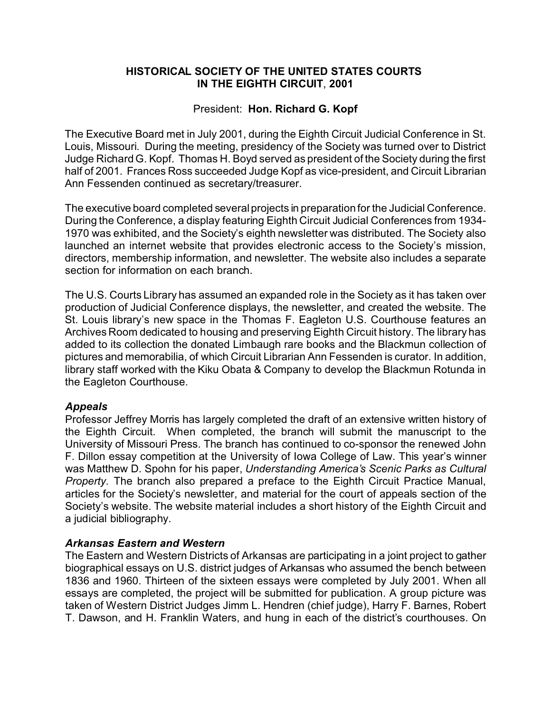## **HISTORICAL SOCIETY OF THE UNITED STATES COURTS IN THE EIGHTH CIRCUIT**, **2001**

## President: **Hon. Richard G. Kopf**

The Executive Board met in July 2001, during the Eighth Circuit Judicial Conference in St. Louis, Missouri. During the meeting, presidency of the Society was turned over to District Judge Richard G. Kopf. Thomas H. Boyd served as president of the Society during the first half of 2001. Frances Ross succeeded Judge Kopf as vice-president, and Circuit Librarian Ann Fessenden continued as secretary/treasurer.

The executive board completed several projects in preparation for the Judicial Conference. During the Conference, a display featuring Eighth Circuit Judicial Conferences from 1934- 1970 was exhibited, and the Society's eighth newsletter was distributed. The Society also launched an internet website that provides electronic access to the Society's mission, directors, membership information, and newsletter. The website also includes a separate section for information on each branch.

The U.S. Courts Library has assumed an expanded role in the Society as it has taken over production of Judicial Conference displays, the newsletter, and created the website. The St. Louis library's new space in the Thomas F. Eagleton U.S. Courthouse features an Archives Room dedicated to housing and preserving Eighth Circuit history. The library has added to its collection the donated Limbaugh rare books and the Blackmun collection of pictures and memorabilia, of which Circuit Librarian Ann Fessenden is curator. In addition, library staff worked with the Kiku Obata & Company to develop the Blackmun Rotunda in the Eagleton Courthouse.

### *Appeals*

Professor Jeffrey Morris has largely completed the draft of an extensive written history of the Eighth Circuit. When completed, the branch will submit the manuscript to the University of Missouri Press. The branch has continued to co-sponsor the renewed John F. Dillon essay competition at the University of Iowa College of Law. This year's winner was Matthew D. Spohn for his paper, *Understanding America's Scenic Parks as Cultural Property.* The branch also prepared a preface to the Eighth Circuit Practice Manual, articles for the Society's newsletter, and material for the court of appeals section of the Society's website. The website material includes a short history of the Eighth Circuit and a judicial bibliography.

# *Arkansas Eastern and Western*

The Eastern and Western Districts of Arkansas are participating in a joint project to gather biographical essays on U.S. district judges of Arkansas who assumed the bench between 1836 and 1960. Thirteen of the sixteen essays were completed by July 2001. When all essays are completed, the project will be submitted for publication. A group picture was taken of Western District Judges Jimm L. Hendren (chief judge), Harry F. Barnes, Robert T. Dawson, and H. Franklin Waters, and hung in each of the district's courthouses. On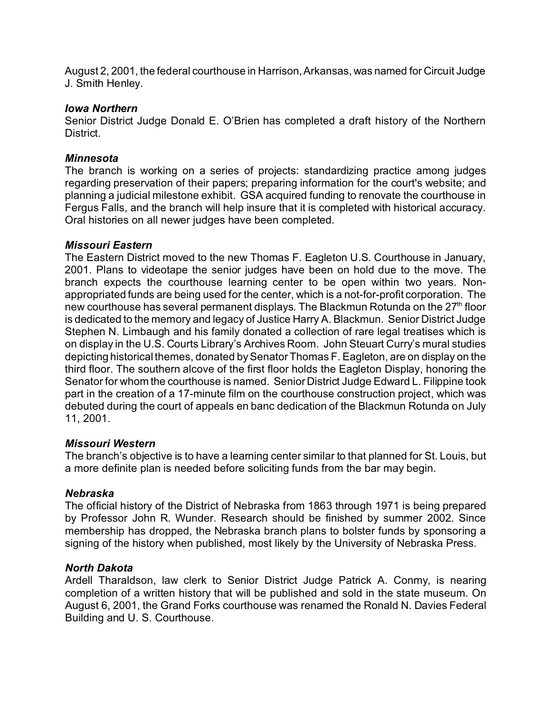August 2, 2001, the federal courthouse in Harrison, Arkansas, was named for Circuit Judge J. Smith Henley.

#### *Iowa Northern*

Senior District Judge Donald E. O'Brien has completed a draft history of the Northern District.

### *Minnesota*

The branch is working on a series of projects: standardizing practice among judges regarding preservation of their papers; preparing information for the court's website; and planning a judicial milestone exhibit. GSA acquired funding to renovate the courthouse in Fergus Falls, and the branch will help insure that it is completed with historical accuracy. Oral histories on all newer judges have been completed.

### *Missouri Eastern*

The Eastern District moved to the new Thomas F. Eagleton U.S. Courthouse in January, 2001. Plans to videotape the senior judges have been on hold due to the move. The branch expects the courthouse learning center to be open within two years. Nonappropriated funds are being used for the center, which is a not-for-profit corporation. The new courthouse has several permanent displays. The Blackmun Rotunda on the  $27<sup>th</sup>$  floor is dedicated to the memory and legacy of Justice Harry A. Blackmun. Senior District Judge Stephen N. Limbaugh and his family donated a collection of rare legal treatises which is on display in the U.S. Courts Library's Archives Room. John Steuart Curry's mural studies depicting historical themes, donated by Senator Thomas F. Eagleton, are on display on the third floor. The southern alcove of the first floor holds the Eagleton Display, honoring the Senator for whom the courthouse is named. Senior District Judge Edward L. Filippine took part in the creation of a 17-minute film on the courthouse construction project, which was debuted during the court of appeals en banc dedication of the Blackmun Rotunda on July 11, 2001.

### *Missouri Western*

The branch's objective is to have a learning center similar to that planned for St. Louis, but a more definite plan is needed before soliciting funds from the bar may begin.

### *Nebraska*

The official history of the District of Nebraska from 1863 through 1971 is being prepared by Professor John R. Wunder. Research should be finished by summer 2002. Since membership has dropped, the Nebraska branch plans to bolster funds by sponsoring a signing of the history when published, most likely by the University of Nebraska Press.

### *North Dakota*

Ardell Tharaldson, law clerk to Senior District Judge Patrick A. Conmy, is nearing completion of a written history that will be published and sold in the state museum. On August 6, 2001, the Grand Forks courthouse was renamed the Ronald N. Davies Federal Building and U. S. Courthouse.